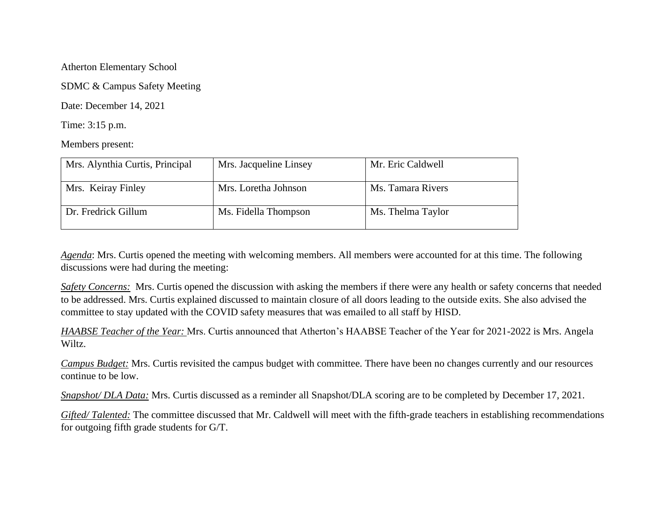Atherton Elementary School

SDMC & Campus Safety Meeting

Date: December 14, 2021

Time: 3:15 p.m.

Members present:

| Mrs. Alynthia Curtis, Principal | Mrs. Jacqueline Linsey | Mr. Eric Caldwell |
|---------------------------------|------------------------|-------------------|
| Mrs. Keiray Finley              | Mrs. Loretha Johnson   | Ms. Tamara Rivers |
| Dr. Fredrick Gillum             | Ms. Fidella Thompson   | Ms. Thelma Taylor |

*Agenda*: Mrs. Curtis opened the meeting with welcoming members. All members were accounted for at this time. The following discussions were had during the meeting:

*Safety Concerns:* Mrs. Curtis opened the discussion with asking the members if there were any health or safety concerns that needed to be addressed. Mrs. Curtis explained discussed to maintain closure of all doors leading to the outside exits. She also advised the committee to stay updated with the COVID safety measures that was emailed to all staff by HISD.

*HAABSE Teacher of the Year:* Mrs. Curtis announced that Atherton's HAABSE Teacher of the Year for 2021-2022 is Mrs. Angela Wiltz.

*Campus Budget:* Mrs. Curtis revisited the campus budget with committee. There have been no changes currently and our resources continue to be low.

*Snapshot/ DLA Data:* Mrs. Curtis discussed as a reminder all Snapshot/DLA scoring are to be completed by December 17, 2021.

*Gifted/ Talented:* The committee discussed that Mr. Caldwell will meet with the fifth-grade teachers in establishing recommendations for outgoing fifth grade students for G/T.